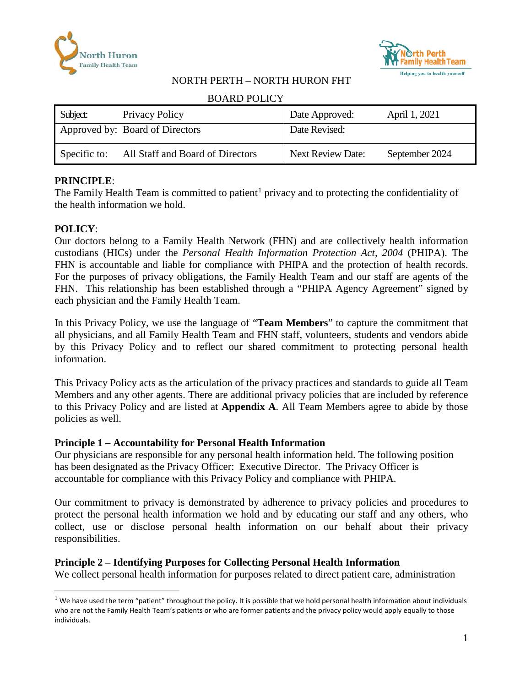



BOARD POLICY

| Subject:     | Privacy Policy                   | Date Approved:           | April 1, 2021  |
|--------------|----------------------------------|--------------------------|----------------|
|              | Approved by: Board of Directors  | Date Revised:            |                |
| Specific to: | All Staff and Board of Directors | <b>Next Review Date:</b> | September 2024 |

### **PRINCIPLE**:

The Family Health Team is committed to patient<sup>[1](#page-0-0)</sup> privacy and to protecting the confidentiality of the health information we hold.

### **POLICY**:

 $\overline{a}$ 

Our doctors belong to a Family Health Network (FHN) and are collectively health information custodians (HICs) under the *Personal Health Information Protection Act, 2004* (PHIPA). The FHN is accountable and liable for compliance with PHIPA and the protection of health records. For the purposes of privacy obligations, the Family Health Team and our staff are agents of the FHN. This relationship has been established through a "PHIPA Agency Agreement" signed by each physician and the Family Health Team.

In this Privacy Policy, we use the language of "**Team Members**" to capture the commitment that all physicians, and all Family Health Team and FHN staff, volunteers, students and vendors abide by this Privacy Policy and to reflect our shared commitment to protecting personal health information.

This Privacy Policy acts as the articulation of the privacy practices and standards to guide all Team Members and any other agents. There are additional privacy policies that are included by reference to this Privacy Policy and are listed at **Appendix A**. All Team Members agree to abide by those policies as well.

### **Principle 1 – Accountability for Personal Health Information**

Our physicians are responsible for any personal health information held. The following position has been designated as the Privacy Officer: Executive Director. The Privacy Officer is accountable for compliance with this Privacy Policy and compliance with PHIPA.

Our commitment to privacy is demonstrated by adherence to privacy policies and procedures to protect the personal health information we hold and by educating our staff and any others, who collect, use or disclose personal health information on our behalf about their privacy responsibilities.

# **Principle 2 – Identifying Purposes for Collecting Personal Health Information**

We collect personal health information for purposes related to direct patient care, administration

<span id="page-0-0"></span> $1$  We have used the term "patient" throughout the policy. It is possible that we hold personal health information about individuals who are not the Family Health Team's patients or who are former patients and the privacy policy would apply equally to those individuals.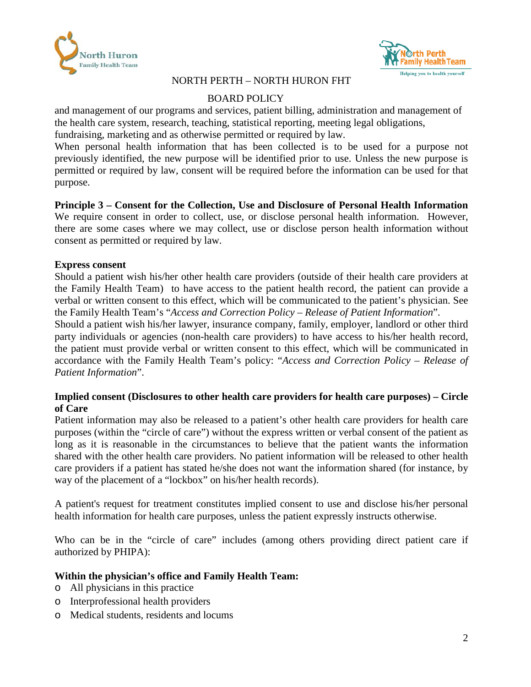



# BOARD POLICY

and management of our programs and services, patient billing, administration and management of the health care system, research, teaching, statistical reporting, meeting legal obligations,

fundraising, marketing and as otherwise permitted or required by law.

When personal health information that has been collected is to be used for a purpose not previously identified, the new purpose will be identified prior to use. Unless the new purpose is permitted or required by law, consent will be required before the information can be used for that purpose.

**Principle 3 – Consent for the Collection, Use and Disclosure of Personal Health Information**  We require consent in order to collect, use, or disclose personal health information. However, there are some cases where we may collect, use or disclose person health information without consent as permitted or required by law.

### **Express consent**

Should a patient wish his/her other health care providers (outside of their health care providers at the Family Health Team) to have access to the patient health record, the patient can provide a verbal or written consent to this effect, which will be communicated to the patient's physician. See the Family Health Team's "*Access and Correction Policy – Release of Patient Information*".

Should a patient wish his/her lawyer, insurance company, family, employer, landlord or other third party individuals or agencies (non-health care providers) to have access to his/her health record, the patient must provide verbal or written consent to this effect, which will be communicated in accordance with the Family Health Team's policy: "*Access and Correction Policy – Release of Patient Information*".

### **Implied consent (Disclosures to other health care providers for health care purposes) – Circle of Care**

Patient information may also be released to a patient's other health care providers for health care purposes (within the "circle of care") without the express written or verbal consent of the patient as long as it is reasonable in the circumstances to believe that the patient wants the information shared with the other health care providers. No patient information will be released to other health care providers if a patient has stated he/she does not want the information shared (for instance, by way of the placement of a "lockbox" on his/her health records).

A patient's request for treatment constitutes implied consent to use and disclose his/her personal health information for health care purposes, unless the patient expressly instructs otherwise.

Who can be in the "circle of care" includes (among others providing direct patient care if authorized by PHIPA):

# **Within the physician's office and Family Health Team:**

- o All physicians in this practice
- o Interprofessional health providers
- o Medical students, residents and locums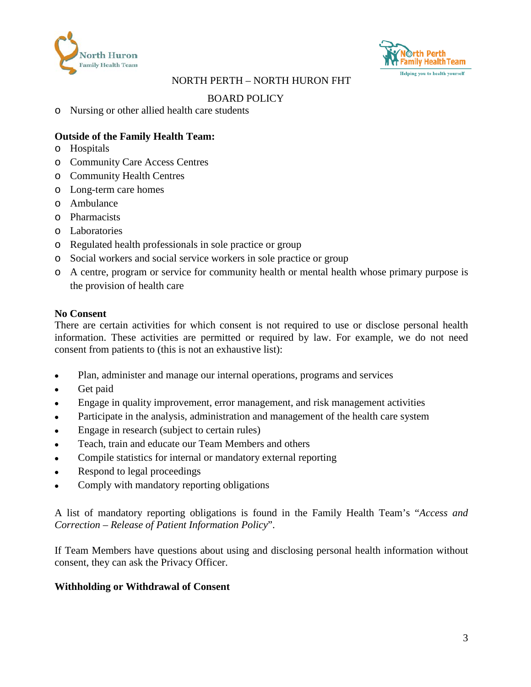



# BOARD POLICY

o Nursing or other allied health care students

## **Outside of the Family Health Team:**

- o Hospitals
- o Community Care Access Centres
- o Community Health Centres
- o Long-term care homes
- o Ambulance
- o Pharmacists
- o Laboratories
- o Regulated health professionals in sole practice or group
- o Social workers and social service workers in sole practice or group
- o A centre, program or service for community health or mental health whose primary purpose is the provision of health care

#### **No Consent**

There are certain activities for which consent is not required to use or disclose personal health information. These activities are permitted or required by law. For example, we do not need consent from patients to (this is not an exhaustive list):

- Plan, administer and manage our internal operations, programs and services
- Get paid
- Engage in quality improvement, error management, and risk management activities
- Participate in the analysis, administration and management of the health care system
- Engage in research (subject to certain rules)
- Teach, train and educate our Team Members and others
- Compile statistics for internal or mandatory external reporting
- Respond to legal proceedings
- Comply with mandatory reporting obligations

A list of mandatory reporting obligations is found in the Family Health Team's "*Access and Correction – Release of Patient Information Policy*".

If Team Members have questions about using and disclosing personal health information without consent, they can ask the Privacy Officer.

#### **Withholding or Withdrawal of Consent**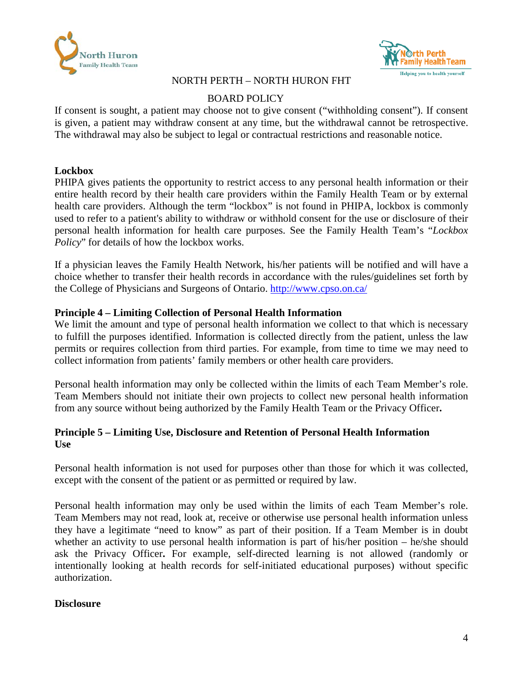



# BOARD POLICY

If consent is sought, a patient may choose not to give consent ("withholding consent"). If consent is given, a patient may withdraw consent at any time, but the withdrawal cannot be retrospective. The withdrawal may also be subject to legal or contractual restrictions and reasonable notice.

# **Lockbox**

PHIPA gives patients the opportunity to restrict access to any personal health information or their entire health record by their health care providers within the Family Health Team or by external health care providers. Although the term "lockbox" is not found in PHIPA, lockbox is commonly used to refer to a patient's ability to withdraw or withhold consent for the use or disclosure of their personal health information for health care purposes. See the Family Health Team's "*Lockbox Policy*" for details of how the lockbox works.

If a physician leaves the Family Health Network, his/her patients will be notified and will have a choice whether to transfer their health records in accordance with the rules/guidelines set forth by the College of Physicians and Surgeons of Ontario. <http://www.cpso.on.ca/>

# **Principle 4 – Limiting Collection of Personal Health Information**

We limit the amount and type of personal health information we collect to that which is necessary to fulfill the purposes identified. Information is collected directly from the patient, unless the law permits or requires collection from third parties. For example, from time to time we may need to collect information from patients' family members or other health care providers.

Personal health information may only be collected within the limits of each Team Member's role. Team Members should not initiate their own projects to collect new personal health information from any source without being authorized by the Family Health Team or the Privacy Officer**.**

# **Principle 5 – Limiting Use, Disclosure and Retention of Personal Health Information Use**

Personal health information is not used for purposes other than those for which it was collected, except with the consent of the patient or as permitted or required by law.

Personal health information may only be used within the limits of each Team Member's role. Team Members may not read, look at, receive or otherwise use personal health information unless they have a legitimate "need to know" as part of their position. If a Team Member is in doubt whether an activity to use personal health information is part of his/her position – he/she should ask the Privacy Officer**.** For example, self-directed learning is not allowed (randomly or intentionally looking at health records for self-initiated educational purposes) without specific authorization.

# **Disclosure**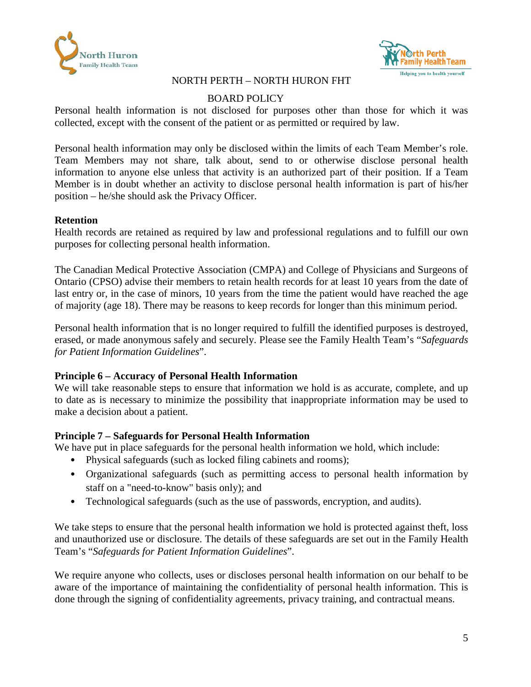



# BOARD POLICY

Personal health information is not disclosed for purposes other than those for which it was collected, except with the consent of the patient or as permitted or required by law.

Personal health information may only be disclosed within the limits of each Team Member's role. Team Members may not share, talk about, send to or otherwise disclose personal health information to anyone else unless that activity is an authorized part of their position. If a Team Member is in doubt whether an activity to disclose personal health information is part of his/her position – he/she should ask the Privacy Officer.

### **Retention**

Health records are retained as required by law and professional regulations and to fulfill our own purposes for collecting personal health information.

The Canadian Medical Protective Association (CMPA) and College of Physicians and Surgeons of Ontario (CPSO) advise their members to retain health records for at least 10 years from the date of last entry or, in the case of minors, 10 years from the time the patient would have reached the age of majority (age 18). There may be reasons to keep records for longer than this minimum period.

Personal health information that is no longer required to fulfill the identified purposes is destroyed, erased, or made anonymous safely and securely. Please see the Family Health Team's "*Safeguards for Patient Information Guidelines*".

### **Principle 6 – Accuracy of Personal Health Information**

We will take reasonable steps to ensure that information we hold is as accurate, complete, and up to date as is necessary to minimize the possibility that inappropriate information may be used to make a decision about a patient.

### **Principle 7 – Safeguards for Personal Health Information**

We have put in place safeguards for the personal health information we hold, which include:

- Physical safeguards (such as locked filing cabinets and rooms);
- Organizational safeguards (such as permitting access to personal health information by staff on a "need-to-know" basis only); and
- Technological safeguards (such as the use of passwords, encryption, and audits).

We take steps to ensure that the personal health information we hold is protected against theft, loss and unauthorized use or disclosure. The details of these safeguards are set out in the Family Health Team's "*Safeguards for Patient Information Guidelines*".

We require anyone who collects, uses or discloses personal health information on our behalf to be aware of the importance of maintaining the confidentiality of personal health information. This is done through the signing of confidentiality agreements, privacy training, and contractual means.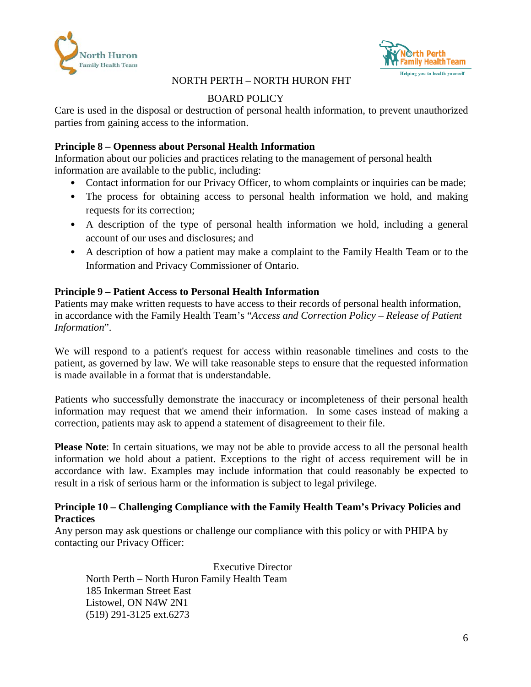



# BOARD POLICY

Care is used in the disposal or destruction of personal health information, to prevent unauthorized parties from gaining access to the information.

# **Principle 8 – Openness about Personal Health Information**

Information about our policies and practices relating to the management of personal health information are available to the public, including:

- Contact information for our Privacy Officer, to whom complaints or inquiries can be made;
- The process for obtaining access to personal health information we hold, and making requests for its correction;
- A description of the type of personal health information we hold, including a general account of our uses and disclosures; and
- A description of how a patient may make a complaint to the Family Health Team or to the Information and Privacy Commissioner of Ontario.

### **Principle 9 – Patient Access to Personal Health Information**

Patients may make written requests to have access to their records of personal health information, in accordance with the Family Health Team's "*Access and Correction Policy – Release of Patient Information*".

We will respond to a patient's request for access within reasonable timelines and costs to the patient, as governed by law. We will take reasonable steps to ensure that the requested information is made available in a format that is understandable.

Patients who successfully demonstrate the inaccuracy or incompleteness of their personal health information may request that we amend their information. In some cases instead of making a correction, patients may ask to append a statement of disagreement to their file.

**Please Note**: In certain situations, we may not be able to provide access to all the personal health information we hold about a patient. Exceptions to the right of access requirement will be in accordance with law. Examples may include information that could reasonably be expected to result in a risk of serious harm or the information is subject to legal privilege.

### **Principle 10 – Challenging Compliance with the Family Health Team's Privacy Policies and Practices**

Any person may ask questions or challenge our compliance with this policy or with PHIPA by contacting our Privacy Officer:

 Executive Director North Perth – North Huron Family Health Team 185 Inkerman Street East Listowel, ON N4W 2N1 (519) 291-3125 ext.6273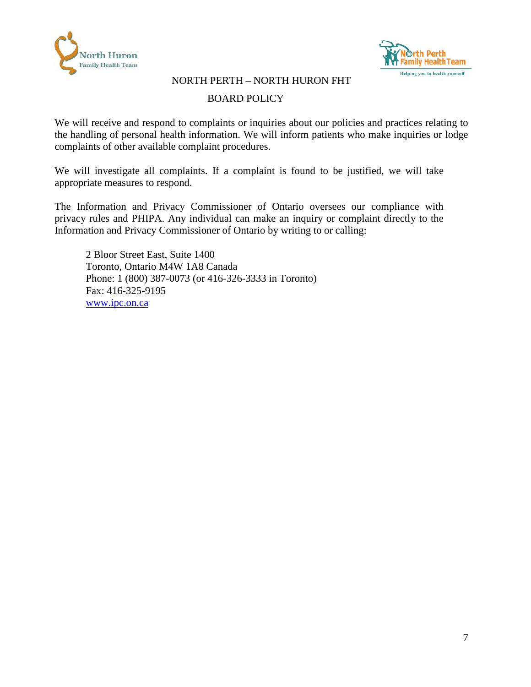



### BOARD POLICY

We will receive and respond to complaints or inquiries about our policies and practices relating to the handling of personal health information. We will inform patients who make inquiries or lodge complaints of other available complaint procedures.

We will investigate all complaints. If a complaint is found to be justified, we will take appropriate measures to respond.

The Information and Privacy Commissioner of Ontario oversees our compliance with privacy rules and PHIPA. Any individual can make an inquiry or complaint directly to the Information and Privacy Commissioner of Ontario by writing to or calling:

2 Bloor Street East, Suite 1400 Toronto, Ontario M4W 1A8 Canada Phone: 1 (800) 387-0073 (or 416-326-3333 in Toronto) Fax: 416-325-9195 [www.ipc.on.ca](http://www.ipc.on.ca/)